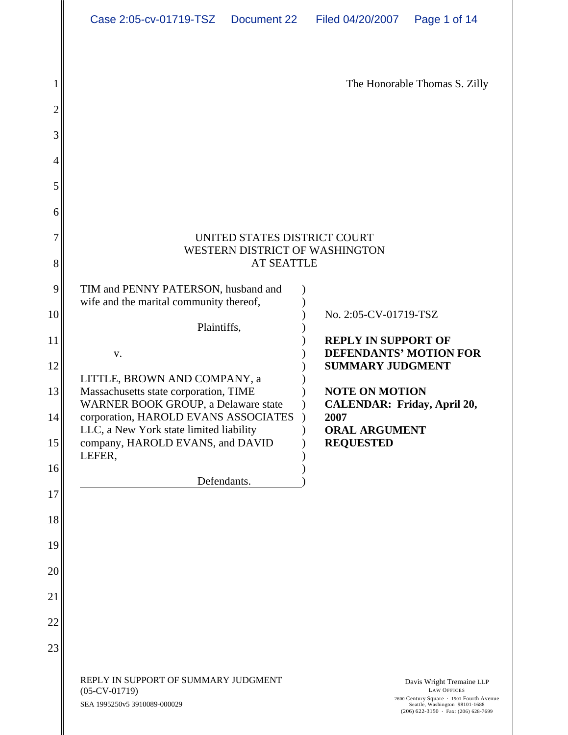| Case 2:05-cv-01719-TSZ  Document 22  Filed 04/20/2007  Page 1 of 14                                                                                                    |                                                                                                                  |  |  |  |  |
|------------------------------------------------------------------------------------------------------------------------------------------------------------------------|------------------------------------------------------------------------------------------------------------------|--|--|--|--|
|                                                                                                                                                                        | The Honorable Thomas S. Zilly                                                                                    |  |  |  |  |
|                                                                                                                                                                        |                                                                                                                  |  |  |  |  |
|                                                                                                                                                                        |                                                                                                                  |  |  |  |  |
| UNITED STATES DISTRICT COURT<br>WESTERN DISTRICT OF WASHINGTON<br><b>AT SEATTLE</b>                                                                                    |                                                                                                                  |  |  |  |  |
| TIM and PENNY PATERSON, husband and )<br>wife and the marital community thereof,<br>Plaintiffs,                                                                        | No. 2:05-CV-01719-TSZ                                                                                            |  |  |  |  |
| V.<br>LITTLE, BROWN AND COMPANY, a                                                                                                                                     | <b>REPLY IN SUPPORT OF</b><br><b>DEFENDANTS' MOTION FOR</b><br><b>SUMMARY JUDGMENT</b>                           |  |  |  |  |
| Massachusetts state corporation, TIME<br>WARNER BOOK GROUP, a Delaware state<br>corporation, HAROLD EVANS ASSOCIATES ) 2007<br>LLC, a New York state limited liability | <b>NOTE ON MOTION</b><br>(b) CALENDAR: Friday, April 20,<br><b>ORAL ARGUMENT</b>                                 |  |  |  |  |
| company, HAROLD EVANS, and DAVID<br>LEFER,<br>Defendants.                                                                                                              | <b>REQUESTED</b>                                                                                                 |  |  |  |  |
|                                                                                                                                                                        |                                                                                                                  |  |  |  |  |
|                                                                                                                                                                        |                                                                                                                  |  |  |  |  |
|                                                                                                                                                                        |                                                                                                                  |  |  |  |  |
| REPLY IN SUPPORT OF SUMMARY JUDGMENT<br>$(05$ -CV-01719)                                                                                                               | Davis Wright Tremaine LLP<br><b>LAW OFFICES</b>                                                                  |  |  |  |  |
| SEA 1995250v5 3910089-000029                                                                                                                                           | 2600 Century Square 1501 Fourth Avenue<br>Seattle, Washington 98101-1688<br>(206) 622-3150 • Fax: (206) 628-7699 |  |  |  |  |

∥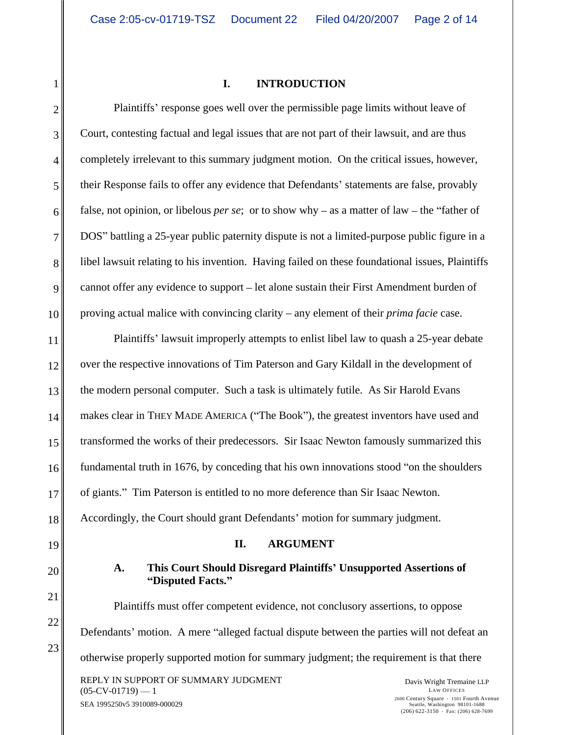#### 1 || **INTRODUCTION I. INTRODUCTION**

2 Plaintiffs' response goes well over the permissible page limits without leave of 3 Court, contesting factual and legal issues that are not part of their lawsuit, and are thus 4 completely irrelevant to this summary judgment motion. On the critical issues, however, 5 their Response fails to offer any evidence that Defendants' statements are false, provably 6 false, not opinion, or libelous *per se*; or to show why – as a matter of law – the "father of 7 DOS" battling a 25-year public paternity dispute is not a limited-purpose public figure in a 8 ibel lawsuit relating to his invention. Having failed on these foundational issues, Plaintiffs 9 || cannot offer any evidence to support – let alone sustain their First Amendment burden of 10 proving actual malice with convincing clarity – any element of their *prima facie* case.

11 Plaintiffs' lawsuit improperly attempts to enlist libel law to quash a 25-year debate 12 over the respective innovations of Tim Paterson and Gary Kildall in the development of 13 the modern personal computer. Such a task is ultimately futile. As Sir Harold Evans 14 makes clear in THEY MADE AMERICA ("The Book"), the greatest inventors have used and 15 transformed the works of their predecessors. Sir Isaac Newton famously summarized this  $16$  fundamental truth in 1676, by conceding that his own innovations stood "on the shoulders 17 of giants." Tim Paterson is entitled to no more deference than Sir Isaac Newton. of giants." Tim Paterson is entitled to no more deference than Sir Isaac Newton.<br>
18 Accordingly, the Court should grant Defendants' motion for summary judgment.

#### $\|19\|$  arguments in the set of  $\|$ **II. ARGUMENT**

## 20 **A. This Court Should Disregard Plaintiffs Unsupported Assertions of Disputed Facts.**

 $21$  $22$   $\parallel$  $23$   $\parallel$ Plaintiffs must offer competent evidence, not conclusory assertions, to oppose Defendants' motion. A mere "alleged factual dispute between the parties will not defeat an otherwise properly supported motion for summary judgment; the requirement is that there

REPLY IN SUPPORT OF SUMMARY JUDGMENT STATES AND RAVIS Wright Tremaine LLP  $(05$ -CV-01719) — 1

SEA 1995250v5 3910089-000029 Davis Wright Tremaine LLP LAW OFFICES 2600 Century Square 1501 Fourth Avenue Seattle, Washington 98101-1688  $(206)$  622-3150 · Fax: (206) 628-7699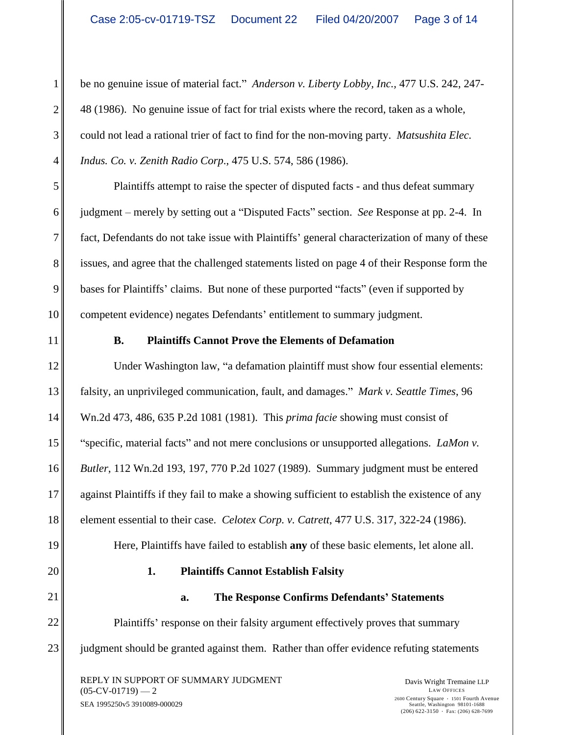1 be no genuine issue of material fact." *Anderson v. Liberty Lobby, Inc.*, 477 U.S. 242, 247- $2 \parallel 48$  (1986). No genuine issue of fact for trial exists where the record, taken as a whole, 3 could not lead a rational trier of fact to find for the non-moving party. *Matsushita Elec.*  4 *Indus. Co. v. Zenith Radio Corp*., 475 U.S. 574, 586 (1986).

5 Plaintiffs attempt to raise the specter of disputed facts - and thus defeat summary 6 igudgment – merely by setting out a "Disputed Facts" section. *See* Response at pp. 2-4. In 7 fact, Defendants do not take issue with Plaintiffs' general characterization of many of these 8 issues, and agree that the challenged statements listed on page 4 of their Response form the 9 bases for Plaintiffs' claims. But none of these purported "facts" (even if supported by 10 || competent evidence) negates Defendants' entitlement to summary judgment.

#### 11 **B. Plaintiffs Cannot Prove the Elements of Defamation**

12 Under Washington law, "a defamation plaintiff must show four essential elements: 13<sup> $\parallel$ </sup> falsity, an unprivileged communication, fault, and damages." *Mark v. Seattle Times*, 96 14 Wn.2d 473, 486, 635 P.2d 1081 (1981). This *prima facie* showing must consist of 15<sup> $\parallel$  "specific, material facts" and not mere conclusions or unsupported allegations. *LaMon v*.</sup> 16 *Butler*, 112 Wn.2d 193, 197, 770 P.2d 1027 (1989). Summary judgment must be entered 17 against Plaintiffs if they fail to make a showing sufficient to establish the existence of any 18 element essential to their case. *Celotex Corp. v. Catrett*, 477 U.S. 317, 322-24 (1986).<br>
Here, Plaintiffs have failed to establish **any** of these basic elements, let alone all.

19 Here, Plaintiffs have failed to establish any of these basic elements, let alone all.

## 20 **1. Plaintiffs Cannot Establish Falsity**

21 **a. The Response Confirms Defendants Statements**

22 ||<br>
Plaintiffs' response on their falsity argument effectively proves that summary 23 igudgment should be granted against them. Rather than offer evidence refuting statements

REPLY IN SUPPORT OF SUMMARY JUDGMENT **Example 12 Property Contains Contained A** Davis Wright Tremaine LLP  $(05$ -CV-01719) — 2  $\qquad \qquad$  LAW OFFICES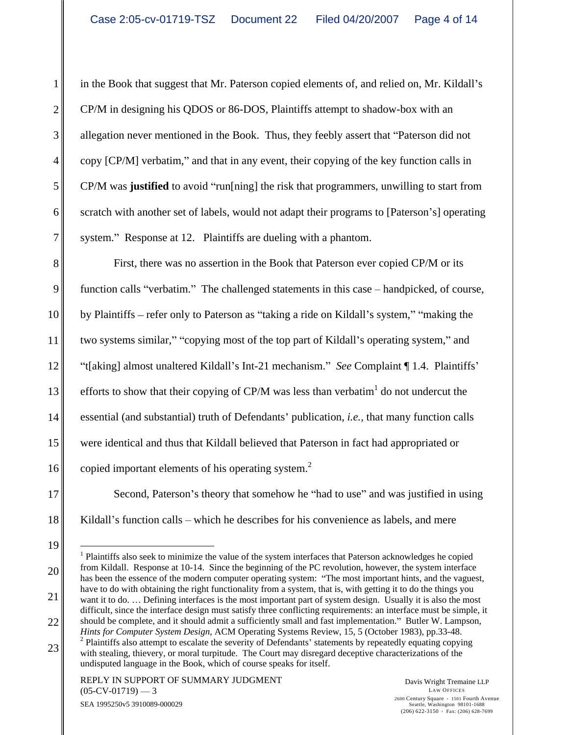1 in the Book that suggest that Mr. Paterson copied elements of, and relied on, Mr. Kildall's 2 CP/M in designing his QDOS or 86-DOS, Plaintiffs attempt to shadow-box with an 3 || allegation never mentioned in the Book. Thus, they feebly assert that "Paterson did not 4 copy [CP/M] verbatim," and that in any event, their copying of the key function calls in 5 CP/M was **justified** to avoid "run[ning] the risk that programmers, unwilling to start from 6 scratch with another set of labels, would not adapt their programs to [Paterson's] operating [168] 7 system." Response at 12. Plaintiffs are dueling with a phantom.

8<sup>|</sup> First, there was no assertion in the Book that Paterson ever copied CP/M or its 9 function calls "verbatim." The challenged statements in this case – handpicked, of course,  $10$  by Plaintiffs – refer only to Paterson as "taking a ride on Kildall's system," "making the 11 two systems similar," "copying most of the top part of Kildall's operating system," and 12 || "t[aking] almost unaltered Kildall's Int-21 mechanism." *See* Complaint || 1.4. Plaintiffs' || 13 efforts to show that their copying of CP/M was less than verbatim<sup>1</sup> do not undercut the 14<sup> $\parallel$ </sup> essential (and substantial) truth of Defendants' publication, *i.e.*, that many function calls 15 were identical and thus that Kildall believed that Paterson in fact had appropriated or 16 copied important elements of his operating system.<sup>2</sup> function calls "verbatim." The challenged statements in this case – handpicked, of course,<br>by Plaintiffs – refer only to Paterson as "taking a ride on Kildall's system," "making the

17 Second, Paterson's theory that somehow he "had to use" and was justified in using 18 || Kildall's function calls – which he describes for his convenience as labels, and mere

 $19$   $20 \parallel$  from Kildall. Response at 10-14. Since the beginning of the PC revolution, however, the system interface  $21 \parallel$  want it to do. ... Defining interfaces is the most important part of system design. Usually it is also the most 1<br><sup>1</sup> Plaintiffs also seek to minimize the value of the system interfaces that Paterson acknowledges he copied has been the essence of the modern computer operating system: "The most important hints, and the vaguest, have to do with obtaining the right functionality from a system, that is, with getting it to do the things you

<sup>22</sup>  $\parallel$  should be complete, and it should admit a sufficiently small and fast implementation." Butler W. Lampson, difficult, since the interface design must satisfy three conflicting requirements: an interface must be simple, it *Hints for Computer System Design*, ACM Operating Systems Review, 15, 5 (October 1983), pp.33-48. <sup>2</sup>

<sup>23&</sup>lt;br>with stealing, thievery, or moral turpitude. The Court may disregard deceptive characterizations of the  $<sup>2</sup>$  Plaintiffs also attempt to escalate the severity of Defendants' statements by repeatedly equating copying</sup> undisputed language in the Book, which of course speaks for itself.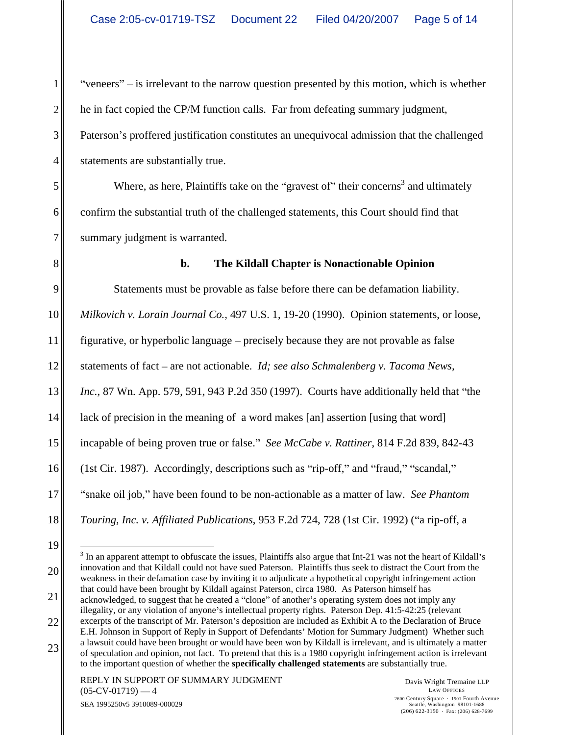$1 \parallel$  "veneers" – is irrelevant to the narrow question presented by this motion, which is whether  $2 \parallel$  he in fact copied the CP/M function calls. Far from defeating summary judgment, 3 Paterson's proffered justification constitutes an unequivocal admission that the challenged  $4\parallel$  statements are substantially true. he in fact copied the CP/M function calls. Far from defeating summary judgment,<br>Paterson's proffered justification constitutes an unequivocal admission that the challenged

 $5$  Where, as here, Plaintiffs take on the "gravest of" their concerns<sup>3</sup> and ultimately 6 confirm the substantial truth of the challenged statements, this Court should find that 7 summary judgment is warranted. statements are substantially true.<br>Where, as here, Plaintiffs take on the "gravest of" their concerns<sup>3</sup> and ultimately

#### 8 **b. The Kildall Chapter is Nonactionable Opinion**

9 Statements must be provable as false before there can be defamation liability. 10 *Milkovich v. Lorain Journal Co.,* 497 U.S. 1, 19-20 (1990). Opinion statements, or loose, 11 figurative, or hyperbolic language – precisely because they are not provable as false 12<sup> $\parallel$ </sup> statements of fact – are not actionable. *Id; see also Schmalenberg v. Tacoma News,* 13 *Inc.*, 87 Wn. App. 579, 591, 943 P.2d 350 (1997). Courts have additionally held that "the 14 ack of precision in the meaning of a word makes [an] assertion [using that word] 15 || incapable of being proven true or false." See McCabe v. Rattiner, 814 F.2d 839, 842-43 16 (1st Cir. 1987). Accordingly, descriptions such as "rip-off," and "fraud," "scandal," 17<sup> $\parallel$  "snake oil job," have been found to be non-actionable as a matter of law. *See Phantom*</sup> 18 Touring, Inc. v. Affiliated Publications, 953 F.2d 724, 728 (1st Cir. 1992) ("a rip-off, a

 $21 \parallel$  acknowledged, to suggest that he created a "clone" of another's operating system does not imply any 22  $\parallel$  excerpts of the transcript of Mr. Paterson's deposition are included as Exhibit A to the Declaration of Bruce illegality, or any violation of anyone's intellectual property rights. Paterson Dep. 41:5-42:25 (relevant

23  $\parallel$  a hawsuit could have been brought of would have been won by Khdan is firenevant, and is unimately a matter of speculation and opinion, not fact. To pretend that this is a 1980 copyright infringement action is irrel E.H. Johnson in Support of Reply in Support of Defendants Motion for Summary Judgment) Whether such a lawsuit could have been brought or would have been won by Kildall is irrelevant, and is ultimately a matter

 $19$   $-$ 20 innovation and that Kildall could not have sued Paterson. Plaintiffs thus seek to distract the Court from the  $\sim$ <sup>3</sup> In an apparent attempt to obfuscate the issues, Plaintiffs also argue that Int-21 was not the heart of Kildall's weakness in their defamation case by inviting it to adjudicate a hypothetical copyright infringement action that could have been brought by Kildall against Paterson, circa 1980. As Paterson himself has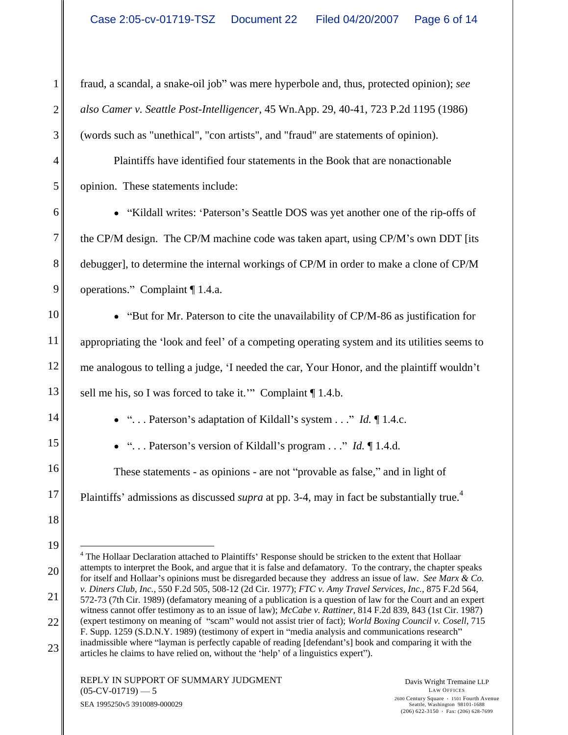1 fraud, a scandal, a snake-oil job" was mere hyperbole and, thus, protected opinion); *see* 2 *also Camer v. Seattle Post-Intelligencer*, 45 Wn.App. 29, 40-41, 723 P.2d 1195 (1986) 3 (words such as "unethical", "con artists", and "fraud" are statements of opinion).

4. Plaintiffs have identified four statements in the Book that are nonactionable 5 opinion. These statements include: (words such as "unethical", "con artists", and "fraud" are statements of opinion). Plaintiffs have identified four statements in the Book that are nonactionable

6 • "Kildall writes: 'Paterson's Seattle DOS was yet another one of the rip-offs of 7 the CP/M design. The CP/M machine code was taken apart, using CP/M's own DDT [its | 8 debugger], to determine the internal workings of CP/M in order to make a clone of CP/M 9 || operations." Complaint || 1.4.a.

10 **But for Mr.** Paterson to cite the unavailability of CP/M-86 as justification for  $11$  appropriating the 'look and feel' of a competing operating system and its utilities seems to 12 me analogous to telling a judge, 'I needed the car, Your Honor, and the plaintiff wouldn't 13 sell me his, so I was forced to take it." Complaint | 1.4.b.

14 . . . Paterson s adaptation of Kildall s system . . . *Id.* ¶ 1.4.c.

15 . . . Paterson s version of Kildall s program . . . *Id.* ¶ 1.4.d.

16 These statements - as opinions - are not "provable as false," and in light of

<sup>17</sup> Plaintiffs' admissions as discussed *supra* at pp. 3-4, may in fact be substantially true.<sup>4</sup> the contract of the contract of

 $19$   $-$ 20 attempts to interpret the Book, and argue that it is false and defamatory. To the contrary, the chapter speaks 21  $\parallel$  572-73 (7th Cir. 1989) (defamatory meaning of a publication is a question of law for the Court and an expert 22 (expert testimony on meaning of "scam" would not assist trier of fact); *World Boxing Council v. Cosell*, 715 23 and comparing it with the articles he claims to have relied on, without the 'help' of a linguistics expert"). The Hollaar Declaration attached to Plaintiffs' Response should be stricken to the extent that Hollaar for itself and Hollaar's opinions must be disregarded because they address an issue of law. *See Marx & Co. v. Diners Club, Inc.*, 550 F.2d 505, 508-12 (2d Cir. 1977); *FTC v. Amy Travel Services, Inc.*, 875 F.2d 564, witness cannot offer testimony as to an issue of law); *McCabe v. Rattiner*, 814 F.2d 839, 843 (1st Cir. 1987) F. Supp. 1259 (S.D.N.Y. 1989) (testimony of expert in "media analysis and communications research" inadmissible where "layman is perfectly capable of reading [defendant's] book and comparing it with the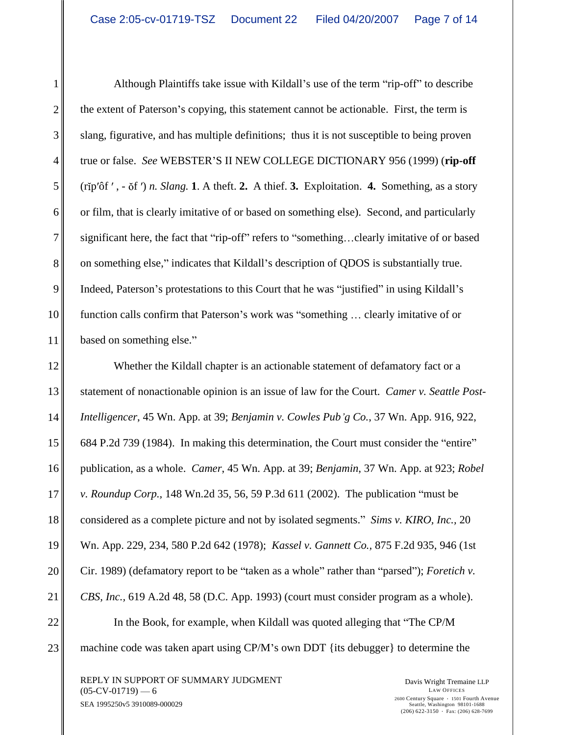1| Although Plaintiffs take issue with Kildall's use of the term "rip-off" to describe  $2 \parallel$  the extent of Paterson's copying, this statement cannot be actionable. First, the term is 3 slang, figurative, and has multiple definitions; thus it is not susceptible to being proven 4 true or false. *See* WEBSTER'S II NEW COLLEGE DICTIONARY 956 (1999) (**rip-off**  $\qquad$ 5 (rip'ôf', - õf') *n. Slang.* 1. A theft. 2. A thief. 3. Exploitation. 4. Something, as a story 6 or film, that is clearly imitative of or based on something else). Second, and particularly 7 significant here, the fact that "rip-off" refers to "something...clearly imitative of or based 8 on something else," indicates that Kildall's description of QDOS is substantially true. 9 || Indeed, Paterson's protestations to this Court that he was "justified" in using Kildall's 10 function calls confirm that Paterson's work was "something ... clearly imitative of or 11 based on something else." based on something else."

12<sup>|</sup> Whether the Kildall chapter is an actionable statement of defamatory fact or a 13 statement of nonactionable opinion is an issue of law for the Court. *Camer v. Seattle Post-*14 *Intelligencer*, 45 Wn. App. at 39; *Benjamin v. Cowles Pub g Co.*, 37 Wn. App. 916, 922, 15 684 P.2d 739 (1984). In making this determination, the Court must consider the "entire" 16 publication, as a whole. *Camer*, 45 Wn. App. at 39; *Benjamin*, 37 Wn. App. at 923; *Robel*  17 v. Roundup Corp., 148 Wn.2d 35, 56, 59 P.3d 611 (2002). The publication "must be 18<sup> $\parallel$ </sup> considered as a complete picture and not by isolated segments." *Sims v. KIRO, Inc.*, 20 19 Wn. App. 229, 234, 580 P.2d 642 (1978); *Kassel v. Gannett Co.,* 875 F.2d 935, 946 (1st 20 Cir. 1989) (defamatory report to be "taken as a whole" rather than "parsed"); *Foretich v*. 21 *CBS, Inc.,* 619 A.2d 48, 58 (D.C. App. 1993) (court must consider program as a whole). 22 || In the Book, for example, when Kildall was quoted alleging that "The CP/M 23 machine code was taken apart using CP/M's own DDT {its debugger} to determine the Although Plaintiffs take issue with Kildall's use of the term "rip-off" to describe<br>turt of Patencon's copying, this subtentent cannot be accionable. First, the term is<br>garantice, and has multiple definitions: thus it is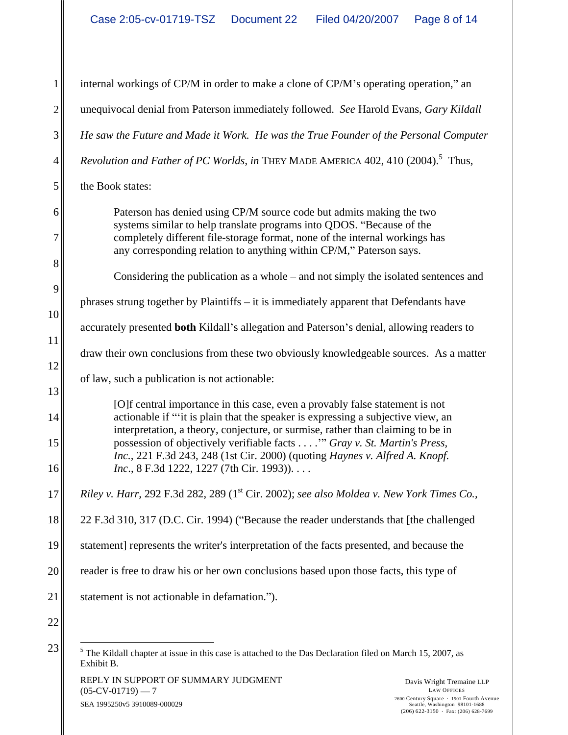1 internal workings of CP/M in order to make a clone of CP/M's operating operation," an 2 unequivocal denial from Paterson immediately followed. *See* Harold Evans, *Gary Kildall*  3 *He saw the Future and Made it Work. He was the True Founder of the Personal Computer*   $4 \parallel$  Revolution and Father of PC Worlds, in THEY MADE AMERICA 402, 410 (2004).<sup>5</sup> Thus,  $5 \parallel$  the Book states: 6 Paterson has denied using CP/M source code but admits making the two 7 completely different file-storage format, none of the internal workings has  $8 \parallel$  $9$  $10$  $11$  $12$  $\|3\|$ 14 actionable if ""it is plain that the speaker is expressing a subjective view, an 15 possession of objectively verifiable facts . . . . *Gray v. St. Martin's Press,*  16 *Inc.*, 8 F.3d 1222, 1227 (7th Cir. 1993)).... 17 *Riley v. Harr,* 292 F.3d 282, 289 (1<sup>st</sup> Cir. 2002); see also Moldea v. New York Times Co., \[\] 18 22 F.3d 310, 317 (D.C. Cir. 1994) ("Because the reader understands that [the challenged | 19 statement] represents the writer's interpretation of the facts presented, and because the 20 care reader is free to draw his or her own conclusions based upon those facts, this type of 21 statement is not actionable in defamation.").  $22 \parallel$ 23  $\frac{1}{\sqrt{5}}$  The Kildall chapter at issue in this case is attached to the Das Declaration filed on March 15, 2007, as Thus, and the same of  $\vert$ the Book states: systems similar to help translate programs into QDOS. "Because of the any corresponding relation to anything within CP/M," Paterson says. Considering the publication as a whole  $-$  and not simply the isolated sentences and phrases strung together by Plaintiffs  $-$  it is immediately apparent that Defendants have accurately presented **both** Kildall's allegation and Paterson's denial, allowing readers to draw their own conclusions from these two obviously knowledgeable sources. As a matter of law, such a publication is not actionable: [O]f central importance in this case, even a provably false statement is not interpretation, a theory, conjecture, or surmise, rather than claiming to be in *Inc.,* 221 F.3d 243, 248 (1st Cir. 2000) (quoting *Haynes v. Alfred A. Knopf.*  Exhibit B.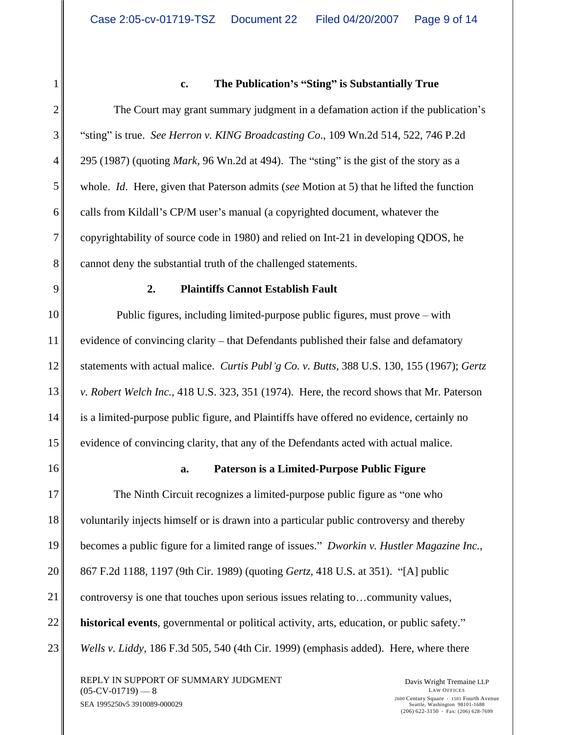## 1 **c. The Publication s Sting is Substantially True**

2<sup> $\parallel$ </sup> The Court may grant summary judgment in a defamation action if the publication's 3 <sup>4</sup> sting" is true. *See Herron v. KING Broadcasting Co.*, 109 Wn.2d 514, 522, 746 P.2d  $4 \parallel 295 (1987)$  (quoting *Mark*, 96 Wn.2d at 494). The "sting" is the gist of the story as a 5 whole. *Id*. Here, given that Paterson admits (*see* Motion at 5) that he lifted the function 6 || calls from Kildall's CP/M user's manual (a copyrighted document, whatever the 7 copyrightability of source code in 1980) and relied on Int-21 in developing QDOS, he 8 || cannot deny the substantial truth of the challenged statements.

#### 9 **2. Plaintiffs Cannot Establish Fault**

10 Public figures, including limited-purpose public figures, must prove – with 11 evidence of convincing clarity – that Defendants published their false and defamatory 12 statements with actual malice. *Curtis Publ g Co. v. Butts*, 388 U.S. 130, 155 (1967); *Gertz*  13 *v. Robert Welch Inc.*, 418 U.S. 323, 351 (1974). Here, the record shows that Mr. Paterson 14 is a limited-purpose public figure, and Plaintiffs have offered no evidence, certainly no 15<sup> $\parallel$ </sup> evidence of convincing clarity, that any of the Defendants acted with actual malice.

#### 16 **a. Paterson is a Limited-Purpose Public Figure**

17 The Ninth Circuit recognizes a limited-purpose public figure as "one who 18 voluntarily injects himself or is drawn into a particular public controversy and thereby becomes a public figure for a limited range of issues." *Dworkin v. Hustler Magazine Inc.*,<br>20 867 F.2d 1188, 1197 (9th Cir. 1989) (quoting *Gertz*, 418 U.S. at 351). "[A] public 20 867 F.2d 1188, 1197 (9th Cir. 1989) (quoting *Gertz*, 418 U.S. at 351). "[A] public 21  $\parallel$  controversy is one that touches upon serious issues relating to... community values, 22<sup> $\parallel$ </sup> **historical events**, governmental or political activity, arts, education, or public safety." 23 *Wells v. Liddy*, 186 F.3d 505, 540 (4th Cir. 1999) (emphasis added). Here, where there

REPLY IN SUPPORT OF SUMMARY JUDGMENT<br>
(05-CV-01719) — 8<br>
LAW OFFICES  $(05$ -CV-01719) — 8  $\qquad \qquad$  LAW OFFICES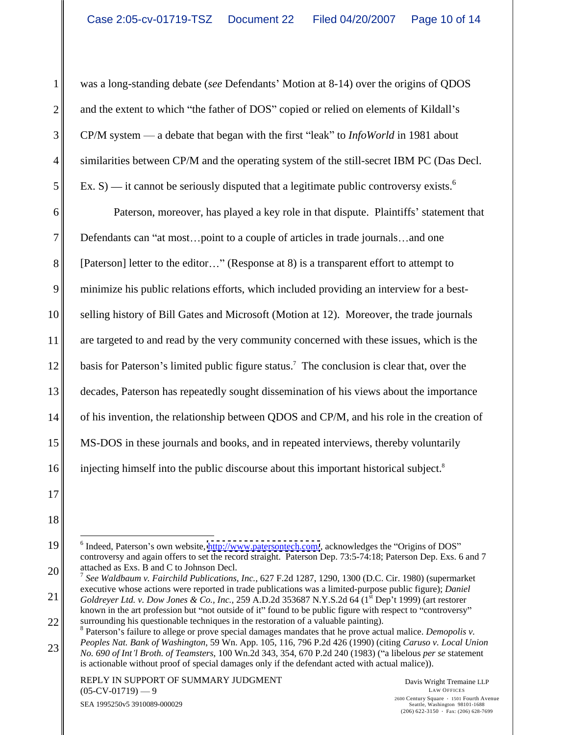1 was a long-standing debate (see Defendants' Motion at 8-14) over the origins of QDOS  $2 \parallel$  and the extent to which "the father of DOS" copied or relied on elements of Kildall's  $3$  CP/M system — a debate that began with the first "leak" to *InfoWorld* in 1981 about 4 similarities between CP/M and the operating system of the still-secret IBM PC (Das Decl.  $5$  Ex. S) — it cannot be seriously disputed that a legitimate public controversy exists.<sup>6</sup>

 $\begin{bmatrix} 6 \end{bmatrix}$  Ex. S) — it cannot be seriously disputed that a legitimate public controversy exists.<sup>6</sup><br>
Paterson, moreover, has played a key role in that dispute. Plaintiffs' statement that 7 Defendants can "at most...point to a couple of articles in trade journals ... and one 8 [ [Paterson] letter to the editor..." (Response at 8) is a transparent effort to attempt to 9 minimize his public relations efforts, which included providing an interview for a best- 10 selling history of Bill Gates and Microsoft (Motion at 12). Moreover, the trade journals 11 are targeted to and read by the very community concerned with these issues, which is the 12 basis for Paterson's limited public figure status.<sup>7</sup> The conclusion is clear that, over the 13 decades, Paterson has repeatedly sought dissemination of his views about the importance 14 of his invention, the relationship between QDOS and CP/M, and his role in the creation of 15 MS-DOS in these journals and books, and in repeated interviews, thereby voluntarily 16 injecting himself into the public discourse about this important historical subject.<sup>8</sup> was a long-stranding debate (see Defendants' Motion at 8-14) over the origins of QDOS<br>
and the extent to which "the future or DOS" copied core registed on elements of Kildall's<br>
CFM system — a debate hat because of the sta the contract of the contract of

<sup>&</sup>lt;sup>6</sup> Indeed, Paterson's own website, <http://www.patersontech.com/>, acknowledges the "Origins of DOS" controversy and again offers to set the record straight. Paterson Dep. 73:5-74:18; Paterson Dep. Exs. 6 and 7

<sup>20</sup>  $\parallel$  attached as Exs. B and C to Johnson Decl.<br><sup>7</sup> See Waldbaum v. Fairchild Publications, Inc., 627 F.2d 1287, 1290, 1300 (D.C. Cir. 1980) (supermarket 21  $\parallel$  Goldreyer Ltd. v. Dow Jones & Co., Inc., 259 A.D.2d 353687 N.Y.S.2d 64 (1<sup>st</sup> Dep't 1999) (art restorer executive whose actions were reported in trade publications was a limited-purpose public figure); *Daniel*   $\sin$  Dep't 1999) (art restorer

 $22$  surrounding his questionable techniques in the restoration of a valuable painting). known in the art profession but "not outside of it" found to be public figure with respect to "controversy"

<sup>23</sup>  $\parallel$  *Neoples Nat. Bank of Washington, 39* Wil. App. 103, 110, 790 1.2d 420 (1990) (ching caraso *v. Local Union*<br>*No.* 690 of Int'l Broth. of Teamsters, 100 Wn.2d 343, 354, 670 P.2d 240 (1983) ("a libelous *per se* sta <sup>8</sup> Paterson's failure to allege or prove special damages mandates that he prove actual malice. *Demopolis v*. *Peoples Nat. Bank of Washington*, 59 Wn. App. 105, 116, 796 P.2d 426 (1990) (citing *Caruso v. Local Union*  is actionable without proof of special damages only if the defendant acted with actual malice)).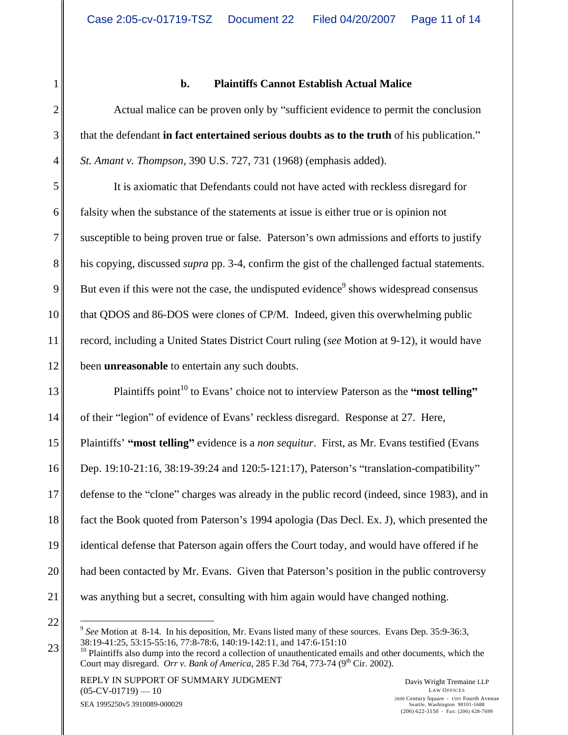#### 1 **b. Plaintiffs Cannot Establish Actual Malice**

2 Actual malice can be proven only by "sufficient evidence to permit the conclusion 3<sup> $\parallel$ </sup> that the defendant **in fact entertained serious doubts as to the truth** of his publication." 4 St. Amant v. Thompson, 390 U.S. 727, 731 (1968) (emphasis added).

<sup>4</sup> St. Amant v. Thompson, 390 U.S. 727, 731 (1968) (emphasis added).<br>
It is axiomatic that Defendants could not have acted with reckless disregard for 6 falsity when the substance of the statements at issue is either true or is opinion not 7 susceptible to being proven true or false. Paterson's own admissions and efforts to justify 8<sup> $\parallel$ </sup> his copying, discussed *supra* pp. 3-4, confirm the gist of the challenged factual statements. 9 But even if this were not the case, the undisputed evidence<sup>9</sup> shows widespread consensus 10 that QDOS and 86-DOS were clones of CP/M. Indeed, given this overwhelming public 11<sup> $\parallel$ </sup> record, including a United States District Court ruling (*see* Motion at 9-12), it would have 12<sup> $\parallel$ </sup> been **unreasonable** to entertain any such doubts.

 $13$  Plaintiffs point<sup>10</sup> to Evans' choice not to interview Paterson as the "most **telling**" 14 of their "legion" of evidence of Evans' reckless disregard. Response at 27. Here, 15 || Plaintiffs' "most telling" evidence is a *non sequitur*. First, as Mr. Evans testified (Evans 16 Dep. 19:10-21:16, 38:19-39:24 and 120:5-121:17), Paterson's "translation-compatibility" 17 defense to the "clone" charges was already in the public record (indeed, since 1983), and in 18 fact the Book quoted from Paterson's 1994 apologia (Das Decl. Ex. J), which presented the 19 identical defense that Paterson again offers the Court today, and would have offered if he 20 || had been contacted by Mr. Evans. Given that Paterson's position in the public controversy 21 was anything but a secret, consulting with him again would have changed nothing.

 $22 \left\| \frac{1}{2} \int_{\frac{1}{2}}^{\frac{1}{2}} \frac{1}{\sqrt{1-\frac{1}{2}}} \frac{1}{\sqrt{1-\frac{1}{2}}} \frac{1}{\sqrt{1-\frac{1}{2}}} \frac{1}{\sqrt{1-\frac{1}{2}}} \frac{1}{\sqrt{1-\frac{1}{2}}} \frac{1}{\sqrt{1-\frac{1}{2}}} \frac{1}{\sqrt{1-\frac{1}{2}}} \frac{1}{\sqrt{1-\frac{1}{2}}} \frac{1}{\sqrt{1-\frac{1}{2}}} \frac{1}{\sqrt{1-\frac{1}{2}}} \frac{1}{\sqrt{1-\frac{1}{2}}} \frac{1}{\sqrt{1-\frac{1$ <sup>9</sup> See Motion at 8-14. In his deposition, Mr. Evans listed many of these sources. Evans Dep. 35:9-36:3,<br>38:19-41:25, 53:15-55:16, 77:8-78:6, 140:19-142:11, and 147:6-151:10

 $23 \parallel$   $\frac{30.19-41.25}{10}$  Plaintiffs also dump into the record a collection of unauthenticated emails and other documents, which the Court may disregard. *Orr v. Bank of America*, 285 F.3d 764, 773-74 (9<sup>th</sup> Cir. 2002).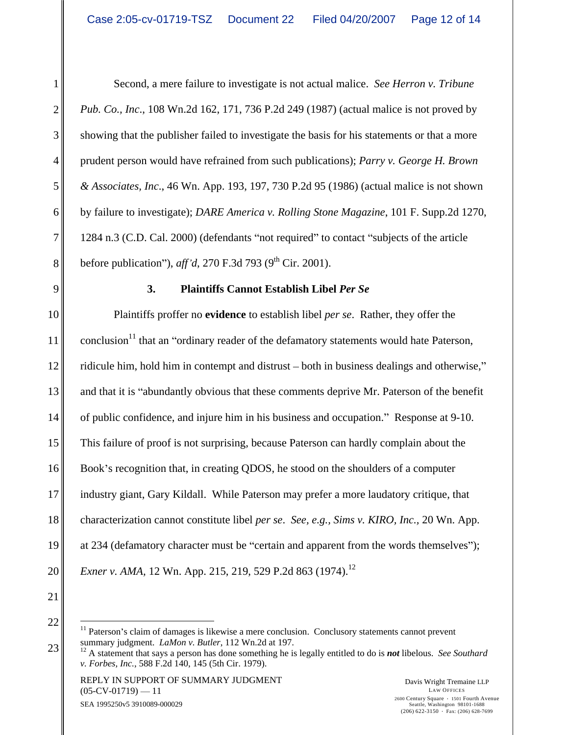Second, a mere failure to investigate is not actual malice. *See Herron v. Tribune Pub. Co., Inc*., 108 Wn.2d 162, 171, 736 P.2d 249 (1987) (actual malice is not proved by 3 showing that the publisher failed to investigate the basis for his statements or that a more prudent person would have refrained from such publications); *Parry v. George H. Brown & Associates, Inc*., 46 Wn. App. 193, 197, 730 P.2d 95 (1986) (actual malice is not shown by failure to investigate); *DARE America v. Rolling Stone Magazine*, 101 F. Supp.2d 1270,  $7 \parallel 1284 \text{ n.3 (C.D. Cal. 2000)}$  (defendants "not required" to contact "subjects of the article  $8 \parallel$  before publication"), *aff'd*, 270 F.3d 793 (9<sup>th</sup> Cir. 2001).

## 9 **3. Plaintiffs Cannot Establish Libel** *Per Se*

10 Plaintiffs proffer no **evidence** to establish libel *per se*. Rather, they offer the  $11$  conclusion<sup>11</sup> that an "ordinary reader of the defamatory statements would hate Paterson, 12  $\parallel$  ridicule him, hold him in contempt and distrust – both in business dealings and otherwise," 13 and that it is "abundantly obvious that these comments deprive Mr. Paterson of the benefit 14 of public confidence, and injure him in his business and occupation." Response at 9-10. of public confidence, and injure him in his business and occupation." Response at 9-10.<br>
This failure of proof is not surprising, because Paterson can hardly complain about the 16 Book's recognition that, in creating QDOS, he stood on the shoulders of a computer 17 industry giant, Gary Kildall. While Paterson may prefer a more laudatory critique, that 18 characterization cannot constitute libel *per se*. *See, e.g., Sims v. KIRO, Inc.,* 20 Wn. App. 19 at 234 (defamatory character must be "certain and apparent from the words themselves"); 20 *Exner v. AMA,* 12 Wn. App. 215, 219, 529 P.2d 863 (1974).<sup>12</sup>

 $21$ 

 $22 \n\Big\|$   $\Big\|$   $\Big\|$   $\Big\|$  Paterson's claim of damages is likewise a mere conclusion. Conclusory statements cannot prevent  $23 \n\Big\}$  summary judgment. *LaMon v. Butler*, 112 Wn.2d at 197.<br><sup>12</sup> A statement that says a person has done something he is legally entitled to do is **not** libelous. *See Southard* 

*v. Forbes, Inc.*, 588 F.2d 140, 145 (5th Cir. 1979).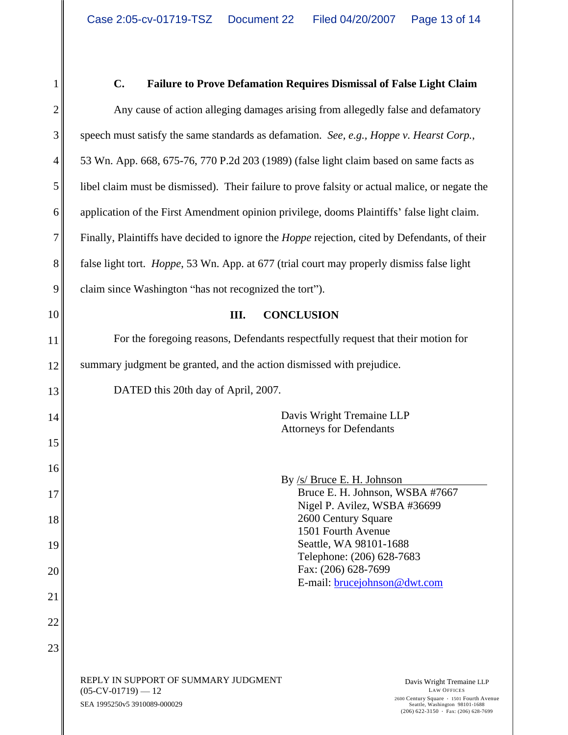# 1 C. Failure to Prove Defamation Requires Dismissal of False Light Claim 2 Any cause of action alleging damages arising from allegedly false and defamatory and  $\Box$  $3$  speech must satisfy the same standards as defamation. See, e.g., Hoppe v. Hearst Corp., speech must satisfy the same standards as defamation. *See, e.g., Hoppe v. Hearst Corp.*,<br>53 Wn. App. 668, 675-76, 770 P.2d 203 (1989) (false light claim based on same facts as 5 libel claim must be dismissed). Their failure to prove falsity or actual malice, or negate the 6 || application of the First Amendment opinion privilege, dooms Plaintiffs' false light claim. 7 Finally, Plaintiffs have decided to ignore the *Hoppe* rejection, cited by Defendants, of their 8 false light tort. *Hoppe*, 53 Wn. App. at 677 (trial court may properly dismiss false light  $9 \parallel$  claim since Washington "has not recognized the tort"). 10 III. CONCLUSION 11 For the foregoing reasons, Defendants respectfully request that their motion for 12 summary judgment be granted, and the action dismissed with prejudice.  $13$  DATED this 20th day of April, 2007. 14|| Davis Wright Tremaine LLP  $15$  $16$ 17 Bruce E. H. Johnson, WSBA #7667 18|| 2600 Century Square  $19$  Seattle, WA 98101-1688  $20$  ||  $200$  ||  $206$  |  $628-7699$  |  $21$  $22 \parallel$  $23$ REPLY IN SUPPORT OF SUMMARY JUDGMENT DAVIS Vright Tremaine LLP  $(05$ -CV-01719) — 12  $\blacksquare$ SEA 1995250v5 3910089-000029 Davis Wright Tremaine LLP LAW OFFICES 2600 Century Square 1501 Fourth Avenue Seattle, Washington 98101-1688 **C.** Failure to Prove Defamation Requires Dismissal of False Light Chain<br>Any cause of action alleging damages arising from allegedly false and definemators<br> $\Delta$  App 688. 675-76. 770 P 24 203 (1989) (false light claim base **III. CONCLUSION**  DATED this 20th day of April, 2007.<br>Davis Wright Tremaine LLP Attorneys for Defendants By /s/ Bruce E. H. Johnson Nigel P. Avilez, WSBA #36699 2600 Century Square 1501 Fourth Avenue Seattle, WA 98101-1688 Telephone: (206) 628-7683 Fax: (206) 628-7699 E-mail: <u>brucejohnson@dwt.com</u>